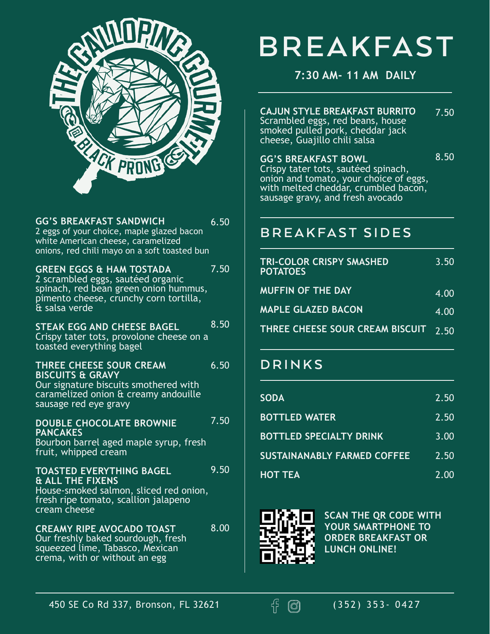

| <b>GG'S BREAKFAST SANDWICH</b>               | 6.50 |
|----------------------------------------------|------|
| 2 eggs of your choice, maple glazed bacon    |      |
| white American cheese, caramelized           |      |
| onions, red chili mayo on a soft toasted bun |      |
|                                              |      |

#### **GREEN EGGS & HAM TOSTADA** 2 scrambled eggs, sautéed organic spinach, red bean green onion hummus, pimento cheese, crunchy corn tortilla, & salsa verde 7.50

#### **STEAK EGG AND CHEESE BAGEL** 8.50

Crispy tater tots, provolone cheese on a toasted everything bagel

#### **THREE CHEESE SOUR CREAM BISCUITS & GRAVY**  6.50

#### Our signature biscuits smothered with caramelized onion & creamy andouille sausage red eye gravy

| <b>DOUBLE CHOCOLATE BROWNIE</b><br><b>PANCAKES</b><br>Bourbon barrel aged maple syrup, fresh<br>fruit, whipped cream                                             | 7.50 |
|------------------------------------------------------------------------------------------------------------------------------------------------------------------|------|
| <b>TOASTED EVERYTHING BAGEL</b><br><b>&amp; ALL THE FIXENS</b><br>House-smoked salmon, sliced red onion,<br>fresh ripe tomato, scallion jalapeno<br>cream cheese | 9.50 |
| <b>CREAMY RIPE AVOCADO TOAST</b><br>Our freshly baked sourdough, fresh<br>squeezed lime, Tabasco, Mexican<br>crema, with or without an egg                       | 8.00 |

# **BREAKFAST**

**7:30 AM- 11 AM DAILY**

| <b>CAJUN STYLE BREAKFAST BURRITO</b><br>Scrambled eggs, red beans, house | 7.50 |
|--------------------------------------------------------------------------|------|
| smoked pulled pork, cheddar jack<br>cheese, Guajillo chili salsa         |      |

**GG'S BREAKFAST BOWL**  Crispy tater tots, sautéed spinach, onion and tomato, your choice of eggs, with melted cheddar, crumbled bacon, sausage gravy, and fresh avocado 8.50

## **BREAKFAST SIDES**

| <b>TRI-COLOR CRISPY SMASHED</b><br><b>POTATOES</b> | 3.50 |
|----------------------------------------------------|------|
| <b>MUFFIN OF THE DAY</b>                           | 4.00 |
| <b>MAPLE GLAZED BACON</b>                          | 4.00 |
| THREE CHEESE SOUR CREAM BISCUIT                    | 2.50 |

### **DRINKS**

| <b>SODA</b>                        | 2.50 |
|------------------------------------|------|
| <b>BOTTLED WATER</b>               | 2.50 |
| <b>BOTTLED SPECIALTY DRINK</b>     | 3.00 |
| <b>SUSTAINANABLY FARMED COFFEE</b> | 2.50 |
| <b>HOT TEA</b>                     | 2.00 |



**SCAN THE QR CODE WITH YOUR SMARTPHONE TO ORDER BREAKFAST OR LUNCH ONLINE!**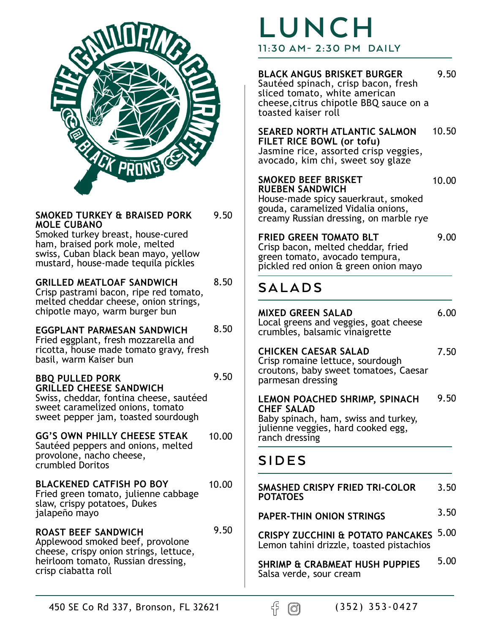

#### **SMOKED TURKEY & BRAISED PORK MOLE CUBANO**  9.50

Smoked turkey breast, house-cured ham, braised pork mole, melted swiss, Cuban black bean mayo, yellow mustard, house-made tequila pickles

#### **GRILLED MEATLOAF SANDWICH**  Crisp pastrami bacon, ripe red tomato, melted cheddar cheese, onion strings, chipotle mayo, warm burger bun 8.50

#### **EGGPLANT PARMESAN SANDWICH** Fried eggplant, fresh mozzarella and ricotta, house made tomato gravy, fresh basil, warm Kaiser bun 8.50

#### **BBQ PULLED PORK GRILLED CHEESE SANDWICH**  Swiss, cheddar, fontina cheese, sautéed sweet caramelized onions, tomato sweet pepper jam, toasted sourdough 9.50

#### **GG'S OWN PHILLY CHEESE STEAK** Sautéed peppers and onions, melted provolone, nacho cheese, crumbled Doritos 10.00

#### **BLACKENED CATFISH PO BOY** Fried green tomato, julienne cabbage slaw, crispy potatoes, Dukes jalapeño mayo 10.00

#### **ROAST BEEF SANDWICH** Applewood smoked beef, provolone cheese, crispy onion strings, lettuce, heirloom tomato, Russian dressing, crisp ciabatta roll 9.50

## **LUNCH** 11:30 AM- 2:30 PM DAILY

| <b>BLACK ANGUS BRISKET BURGER</b><br>Sautéed spinach, crisp bacon, fresh<br>sliced tomato, white american<br>cheese, citrus chipotle BBQ sauce on a<br>toasted kaiser roll | 9.50  |
|----------------------------------------------------------------------------------------------------------------------------------------------------------------------------|-------|
| SEARED NORTH ATLANTIC SALMON<br>FILET RICE BOWL (or tofu)<br>Jasmine rice, assorted crisp veggies,<br>avocado, kim chi, sweet soy glaze                                    | 10.50 |
| SMOKED BEEF BRISKET<br><b>RUEBEN SANDWICH</b><br>House-made spicy sauerkraut, smoked<br>gouda, caramelized Vidalia onions,<br>creamy Russian dressing, on marble rye       | 10.00 |
| <b>FRIED GREEN TOMATO BLT</b><br>Crisp bacon, melted cheddar, fried<br>green tomato, avocado tempura,<br>pickled red onion & green onion mayo                              | 9.00  |
| SALADS                                                                                                                                                                     |       |
| <b>MIXED GREEN SALAD</b><br>Local greens and veggies, goat cheese<br>crumbles, balsamic vinaigrette                                                                        | 6.00  |
| <b>CHICKEN CAESAR SALAD</b><br>Crisp romaine lettuce, sourdough<br>croutons, baby sweet tomatoes, Caesar<br>parmesan dressing                                              | 7.50  |
| LEMON POACHED SHRIMP, SPINACH<br><b>CHEF SALAD</b><br>Baby spinach, ham, swiss and turkey,<br>julienne veggies, hard cooked egg,<br>ranch dressing                         | 9.50  |
| <b>SIDES</b>                                                                                                                                                               |       |
| SMASHED CRISPY FRIED TRI-COLOR<br><b>POTATOES</b>                                                                                                                          | 3.50  |

**PAPER-THIN ONION STRINGS**  3.50

**CRISPY ZUCCHINI & POTATO PANCAKES** 5.00 Lemon tahini drizzle, toasted pistachios

**SHRIMP & CRABMEAT HUSH PUPPIES** Salsa verde, sour cream 5.00

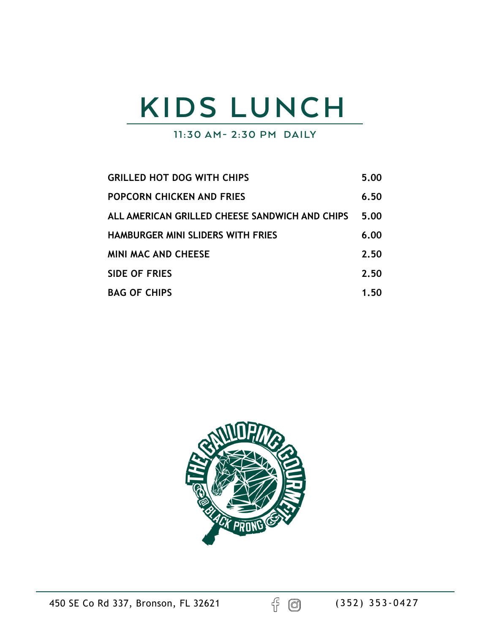# **KIDS LUNCH**

### 11:30 AM- 2:30 PM DAILY

| <b>GRILLED HOT DOG WITH CHIPS</b>              | 5.00 |
|------------------------------------------------|------|
| POPCORN CHICKEN AND FRIES                      | 6.50 |
| ALL AMERICAN GRILLED CHEESE SANDWICH AND CHIPS | 5.00 |
| HAMBURGER MINI SLIDERS WITH FRIES              | 6.00 |
| MINI MAC AND CHEESE                            | 2.50 |
| <b>SIDE OF FRIES</b>                           | 2.50 |
| <b>BAG OF CHIPS</b>                            | 1.50 |